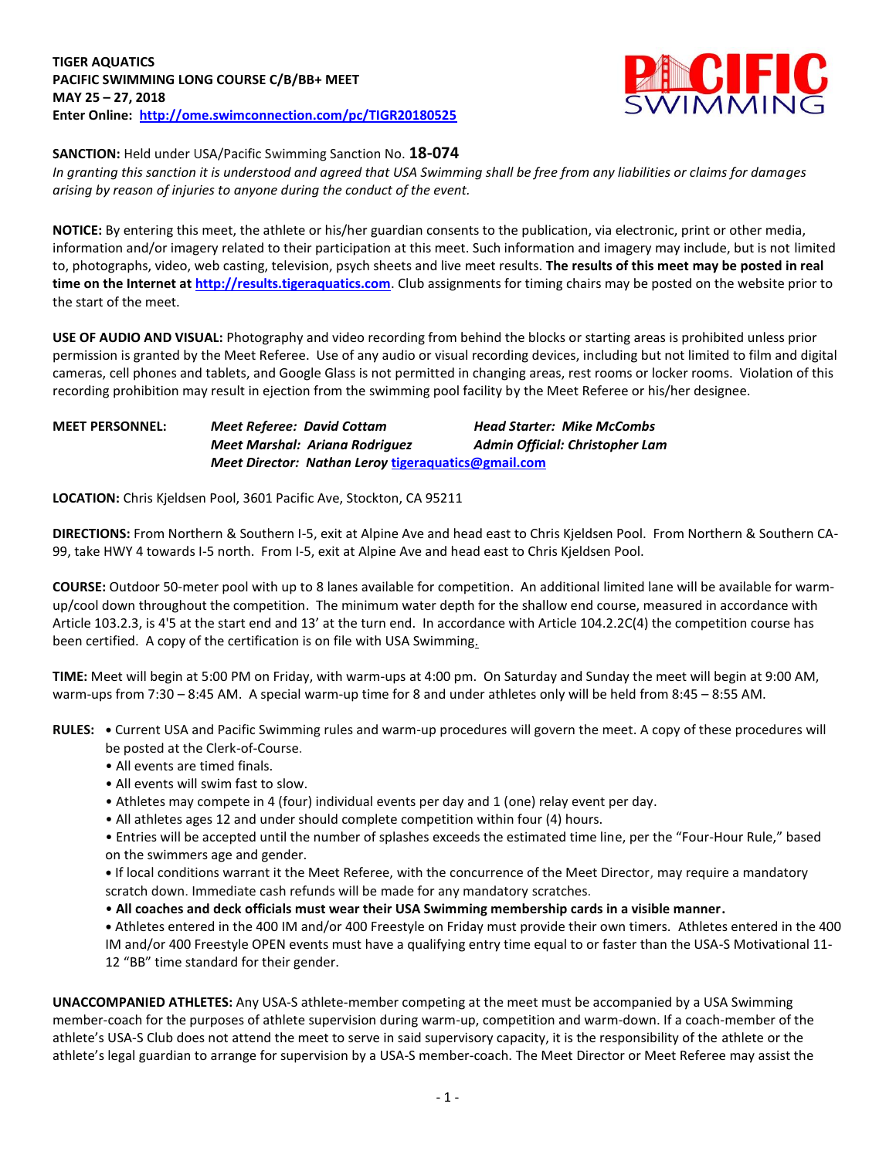

**SANCTION:** Held under USA/Pacific Swimming Sanction No. **18-074**

*In granting this sanction it is understood and agreed that USA Swimming shall be free from any liabilities or claims for damages arising by reason of injuries to anyone during the conduct of the event.*

**NOTICE:** By entering this meet, the athlete or his/her guardian consents to the publication, via electronic, print or other media, information and/or imagery related to their participation at this meet. Such information and imagery may include, but is not limited to, photographs, video, web casting, television, psych sheets and live meet results. **The results of this meet may be posted in real time on the Internet a[t http://results.tigeraquatics.com](http://results.tigeraquatics.com/)**. Club assignments for timing chairs may be posted on the website prior to the start of the meet.

**USE OF AUDIO AND VISUAL:** Photography and video recording from behind the blocks or starting areas is prohibited unless prior permission is granted by the Meet Referee. Use of any audio or visual recording devices, including but not limited to film and digital cameras, cell phones and tablets, and Google Glass is not permitted in changing areas, rest rooms or locker rooms. Violation of this recording prohibition may result in ejection from the swimming pool facility by the Meet Referee or his/her designee.

**MEET PERSONNEL:** *Meet Referee: David Cottam Head Starter: Mike McCombs Meet Marshal: Ariana Rodriguez Admin Official: Christopher Lam Meet Director: Nathan Leroy* **[tigeraquatics@gmail.com](mailto:tigeraquatics@gmail.com)**

**LOCATION:** Chris Kjeldsen Pool, 3601 Pacific Ave, Stockton, CA 95211

**DIRECTIONS:** From Northern & Southern I-5, exit at Alpine Ave and head east to Chris Kjeldsen Pool. From Northern & Southern CA-99, take HWY 4 towards I-5 north. From I-5, exit at Alpine Ave and head east to Chris Kjeldsen Pool.

**COURSE:** Outdoor 50-meter pool with up to 8 lanes available for competition. An additional limited lane will be available for warmup/cool down throughout the competition. The minimum water depth for the shallow end course, measured in accordance with Article 103.2.3, is 4'5 at the start end and 13' at the turn end. In accordance with Article 104.2.2C(4) the competition course has been certified. A copy of the certification is on file with USA Swimming.

**TIME:** Meet will begin at 5:00 PM on Friday, with warm-ups at 4:00 pm. On Saturday and Sunday the meet will begin at 9:00 AM, warm-ups from 7:30 – 8:45 AM. A special warm-up time for 8 and under athletes only will be held from 8:45 – 8:55 AM.

**RULES: •** Current USA and Pacific Swimming rules and warm-up procedures will govern the meet. A copy of these procedures will be posted at the Clerk-of-Course.

- All events are timed finals.
- All events will swim fast to slow.
- Athletes may compete in 4 (four) individual events per day and 1 (one) relay event per day.
- All athletes ages 12 and under should complete competition within four (4) hours.

• Entries will be accepted until the number of splashes exceeds the estimated time line, per the "Four-Hour Rule," based on the swimmers age and gender.

**•** If local conditions warrant it the Meet Referee, with the concurrence of the Meet Director, may require a mandatory scratch down. Immediate cash refunds will be made for any mandatory scratches.

• **All coaches and deck officials must wear their USA Swimming membership cards in a visible manner.** 

**•** Athletes entered in the 400 IM and/or 400 Freestyle on Friday must provide their own timers. Athletes entered in the 400 IM and/or 400 Freestyle OPEN events must have a qualifying entry time equal to or faster than the USA-S Motivational 11- 12 "BB" time standard for their gender.

**UNACCOMPANIED ATHLETES:** Any USA-S athlete-member competing at the meet must be accompanied by a USA Swimming member-coach for the purposes of athlete supervision during warm-up, competition and warm-down. If a coach-member of the athlete's USA-S Club does not attend the meet to serve in said supervisory capacity, it is the responsibility of the athlete or the athlete's legal guardian to arrange for supervision by a USA-S member-coach. The Meet Director or Meet Referee may assist the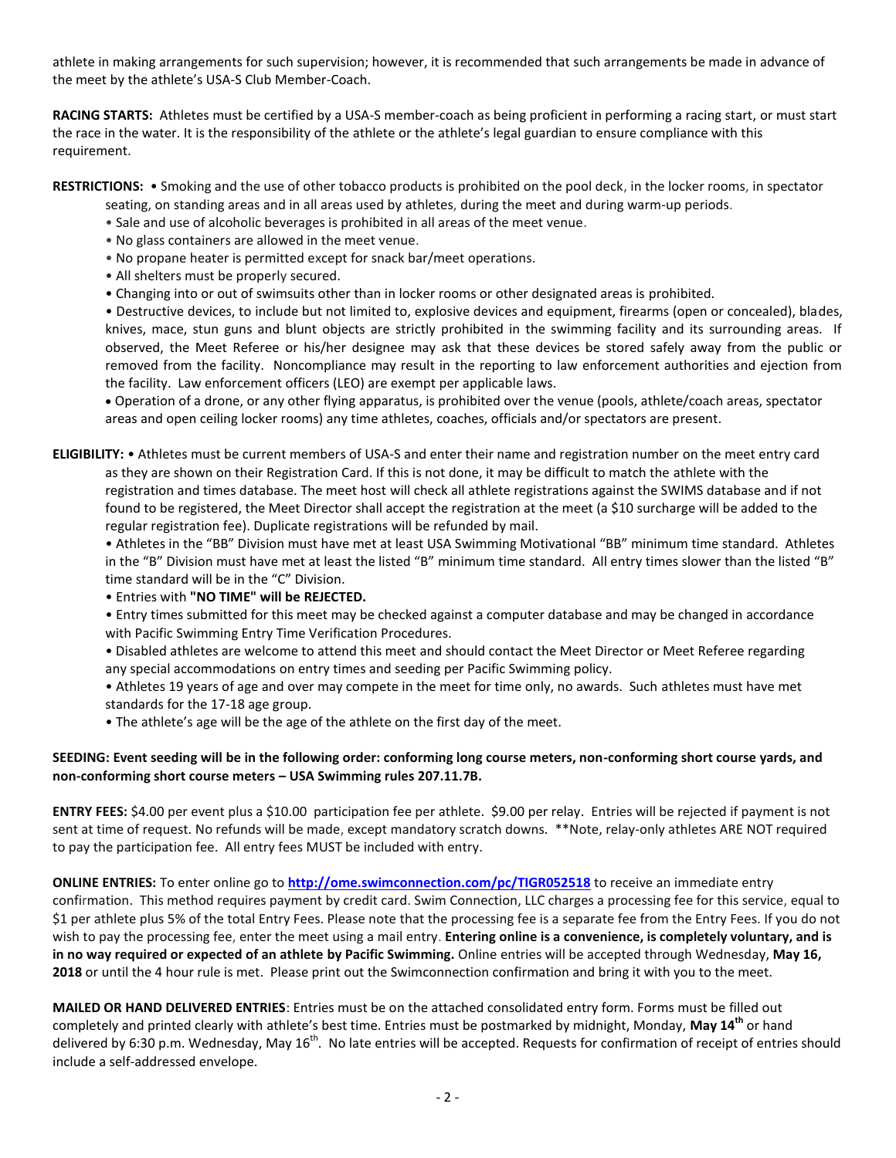athlete in making arrangements for such supervision; however, it is recommended that such arrangements be made in advance of the meet by the athlete's USA-S Club Member-Coach.

**RACING STARTS:** Athletes must be certified by a USA-S member-coach as being proficient in performing a racing start, or must start the race in the water. It is the responsibility of the athlete or the athlete's legal guardian to ensure compliance with this requirement.

**RESTRICTIONS:** • Smoking and the use of other tobacco products is prohibited on the pool deck, in the locker rooms, in spectator

- seating, on standing areas and in all areas used by athletes, during the meet and during warm-up periods.
- Sale and use of alcoholic beverages is prohibited in all areas of the meet venue.
- No glass containers are allowed in the meet venue.
- No propane heater is permitted except for snack bar/meet operations.
- All shelters must be properly secured.
- Changing into or out of swimsuits other than in locker rooms or other designated areas is prohibited.

• Destructive devices, to include but not limited to, explosive devices and equipment, firearms (open or concealed), blades, knives, mace, stun guns and blunt objects are strictly prohibited in the swimming facility and its surrounding areas. If observed, the Meet Referee or his/her designee may ask that these devices be stored safely away from the public or removed from the facility. Noncompliance may result in the reporting to law enforcement authorities and ejection from the facility. Law enforcement officers (LEO) are exempt per applicable laws.

 Operation of a drone, or any other flying apparatus, is prohibited over the venue (pools, athlete/coach areas, spectator areas and open ceiling locker rooms) any time athletes, coaches, officials and/or spectators are present.

**ELIGIBILITY:** • Athletes must be current members of USA-S and enter their name and registration number on the meet entry card as they are shown on their Registration Card. If this is not done, it may be difficult to match the athlete with the registration and times database. The meet host will check all athlete registrations against the SWIMS database and if not found to be registered, the Meet Director shall accept the registration at the meet (a \$10 surcharge will be added to the regular registration fee). Duplicate registrations will be refunded by mail.

• Athletes in the "BB" Division must have met at least USA Swimming Motivational "BB" minimum time standard. Athletes in the "B" Division must have met at least the listed "B" minimum time standard. All entry times slower than the listed "B" time standard will be in the "C" Division.

- Entries with **"NO TIME" will be REJECTED.**
- Entry times submitted for this meet may be checked against a computer database and may be changed in accordance with Pacific Swimming Entry Time Verification Procedures.
- Disabled athletes are welcome to attend this meet and should contact the Meet Director or Meet Referee regarding any special accommodations on entry times and seeding per Pacific Swimming policy.
- Athletes 19 years of age and over may compete in the meet for time only, no awards. Such athletes must have met standards for the 17-18 age group.
- The athlete's age will be the age of the athlete on the first day of the meet.

## **SEEDING: Event seeding will be in the following order: conforming long course meters, non-conforming short course yards, and non-conforming short course meters – USA Swimming rules 207.11.7B.**

**ENTRY FEES:** \$4.00 per event plus a \$10.00 participation fee per athlete. \$9.00 per relay. Entries will be rejected if payment is not sent at time of request. No refunds will be made, except mandatory scratch downs. \*\*Note, relay-only athletes ARE NOT required to pay the participation fee. All entry fees MUST be included with entry.

**ONLINE ENTRIES:** To enter online go to **<http://ome.swimconnection.com/pc/TIGR052518>** to receive an immediate entry confirmation. This method requires payment by credit card. Swim Connection, LLC charges a processing fee for this service, equal to \$1 per athlete plus 5% of the total Entry Fees. Please note that the processing fee is a separate fee from the Entry Fees. If you do not wish to pay the processing fee, enter the meet using a mail entry. **Entering online is a convenience, is completely voluntary, and is in no way required or expected of an athlete by Pacific Swimming.** Online entries will be accepted through Wednesday, **May 16, 2018** or until the 4 hour rule is met. Please print out the Swimconnection confirmation and bring it with you to the meet.

**MAILED OR HAND DELIVERED ENTRIES**: Entries must be on the attached consolidated entry form. Forms must be filled out completely and printed clearly with athlete's best time. Entries must be postmarked by midnight, Monday, **May 14th** or hand delivered by 6:30 p.m. Wednesday, May 16<sup>th</sup>. No late entries will be accepted. Requests for confirmation of receipt of entries should include a self-addressed envelope.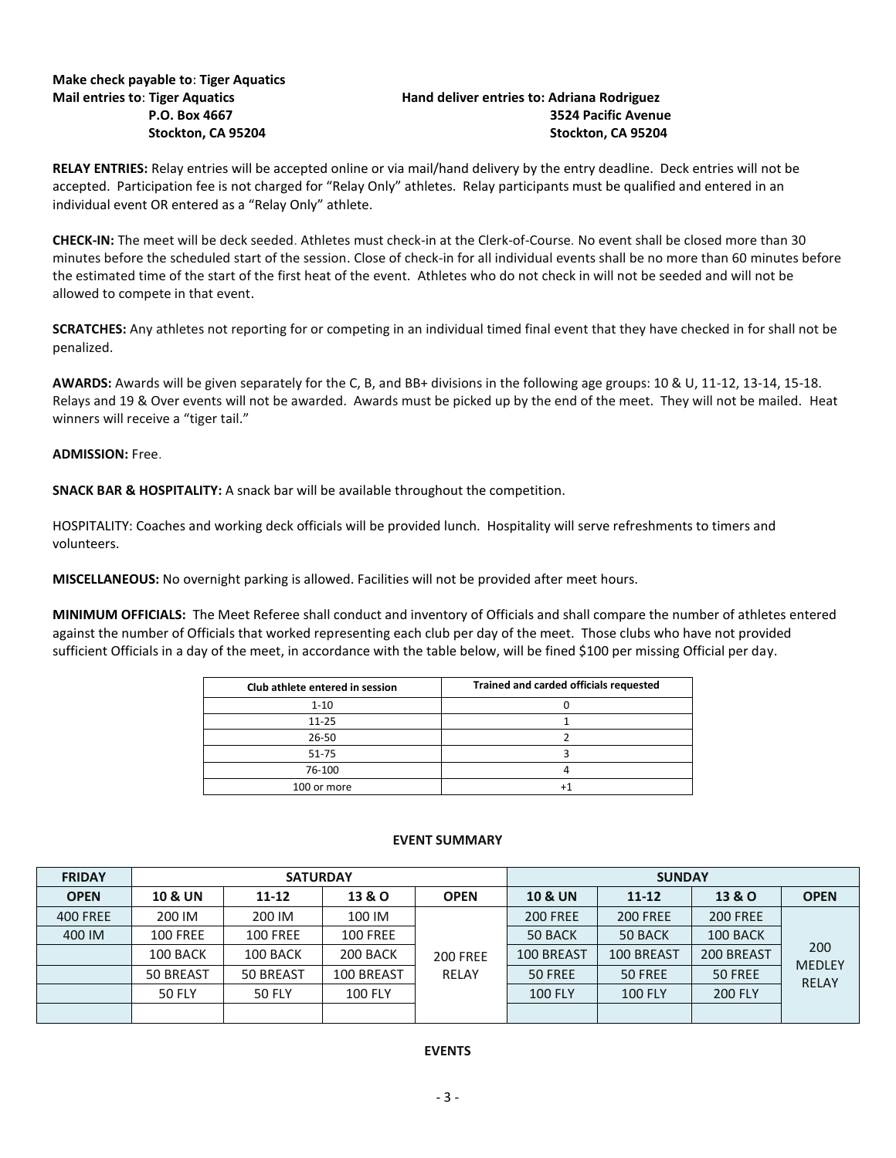# **Make check payable to**: **Tiger Aquatics**

## **Hand deliver entries to: Adriana Rodriguez P.O. Box 4667 3524 Pacific Avenue Stockton, CA 95204 Stockton, CA 95204**

**RELAY ENTRIES:** Relay entries will be accepted online or via mail/hand delivery by the entry deadline. Deck entries will not be accepted. Participation fee is not charged for "Relay Only" athletes. Relay participants must be qualified and entered in an individual event OR entered as a "Relay Only" athlete.

**CHECK-IN:** The meet will be deck seeded. Athletes must check-in at the Clerk-of-Course. No event shall be closed more than 30 minutes before the scheduled start of the session. Close of check-in for all individual events shall be no more than 60 minutes before the estimated time of the start of the first heat of the event. Athletes who do not check in will not be seeded and will not be allowed to compete in that event.

**SCRATCHES:** Any athletes not reporting for or competing in an individual timed final event that they have checked in for shall not be penalized.

**AWARDS:** Awards will be given separately for the C, B, and BB+ divisions in the following age groups: 10 & U, 11-12, 13-14, 15-18. Relays and 19 & Over events will not be awarded. Awards must be picked up by the end of the meet. They will not be mailed. Heat winners will receive a "tiger tail."

### **ADMISSION:** Free.

**SNACK BAR & HOSPITALITY:** A snack bar will be available throughout the competition.

HOSPITALITY: Coaches and working deck officials will be provided lunch. Hospitality will serve refreshments to timers and volunteers.

**MISCELLANEOUS:** No overnight parking is allowed. Facilities will not be provided after meet hours.

**MINIMUM OFFICIALS:** The Meet Referee shall conduct and inventory of Officials and shall compare the number of athletes entered against the number of Officials that worked representing each club per day of the meet. Those clubs who have not provided sufficient Officials in a day of the meet, in accordance with the table below, will be fined \$100 per missing Official per day.

| Club athlete entered in session | Trained and carded officials requested |
|---------------------------------|----------------------------------------|
| $1 - 10$                        |                                        |
| $11 - 25$                       |                                        |
| 26-50                           |                                        |
| 51-75                           |                                        |
| 76-100                          |                                        |
| 100 or more                     |                                        |

#### **EVENT SUMMARY**

| <b>FRIDAY</b>   | <b>SATURDAY</b>    |                 |                 |                 |                    | <b>SUNDAY</b>   |                   |                                      |
|-----------------|--------------------|-----------------|-----------------|-----------------|--------------------|-----------------|-------------------|--------------------------------------|
| <b>OPEN</b>     | <b>10 &amp; UN</b> | 11-12           | 13 & O          | <b>OPEN</b>     | <b>10 &amp; UN</b> | $11 - 12$       | <b>13 &amp; O</b> | <b>OPEN</b>                          |
| <b>400 FREE</b> | 200 IM             | 200 IM          | 100 IM          |                 | <b>200 FREE</b>    | <b>200 FREE</b> | <b>200 FREE</b>   | 200<br><b>MEDLEY</b><br><b>RELAY</b> |
| 400 IM          | <b>100 FREE</b>    | <b>100 FREE</b> | <b>100 FREE</b> |                 | 50 BACK            | 50 BACK         | 100 BACK          |                                      |
|                 | 100 BACK           | 100 BACK        | 200 BACK        | <b>200 FREE</b> | 100 BREAST         | 100 BREAST      | 200 BREAST        |                                      |
|                 | 50 BREAST          | 50 BREAST       | 100 BREAST      | RELAY           | 50 FREE            | 50 FREE         | 50 FREE           |                                      |
|                 | <b>50 FLY</b>      | <b>50 FLY</b>   | <b>100 FLY</b>  |                 | <b>100 FLY</b>     | <b>100 FLY</b>  | <b>200 FLY</b>    |                                      |
|                 |                    |                 |                 |                 |                    |                 |                   |                                      |

#### **EVENTS**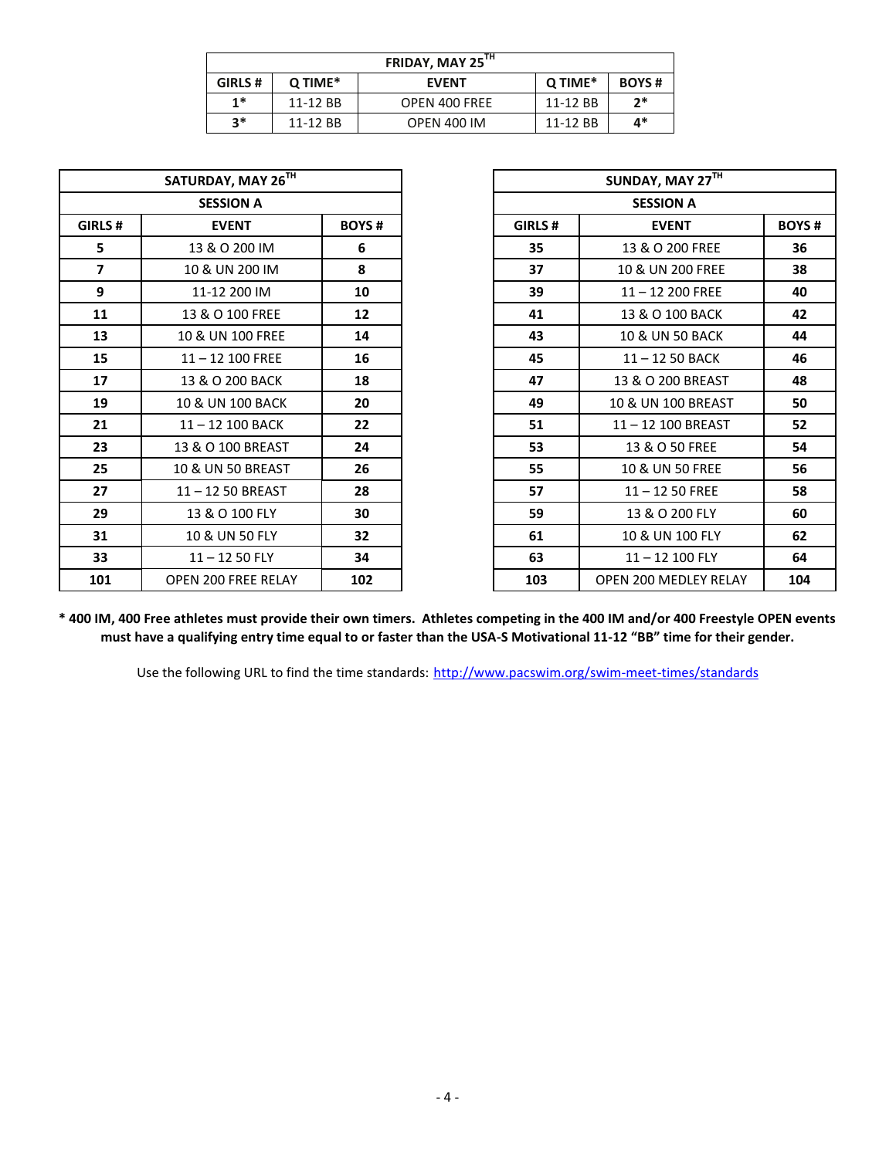| FRIDAY, MAY 25 <sup>TH</sup> |          |                    |              |      |  |  |  |  |
|------------------------------|----------|--------------------|--------------|------|--|--|--|--|
| GIRLS #                      | Q TIME*  | Q TIME*            | <b>BOYS#</b> |      |  |  |  |  |
| $1*$                         | 11-12 BB | OPEN 400 FREE      | 11-12 BB     | $2*$ |  |  |  |  |
| $3*$                         | 11-12 BB | <b>OPEN 400 IM</b> | 11-12 BB     | 4*   |  |  |  |  |

| SATURDAY, MAY 26TH |                            |     |  |  |  |  |  |
|--------------------|----------------------------|-----|--|--|--|--|--|
| <b>SESSION A</b>   |                            |     |  |  |  |  |  |
| GIRLS#             | <b>EVENT</b>               |     |  |  |  |  |  |
| 5                  | 13 & O 200 IM              | 6   |  |  |  |  |  |
| 7                  | 10 & UN 200 IM             | 8   |  |  |  |  |  |
| 9                  | 11-12 200 IM               | 10  |  |  |  |  |  |
| 11                 | 13 & O 100 FREE            | 12  |  |  |  |  |  |
| 13                 | 10 & UN 100 FREE           | 14  |  |  |  |  |  |
| 15                 | $11 - 12$ 100 FREE         | 16  |  |  |  |  |  |
| 17                 | 13 & O 200 BACK            | 18  |  |  |  |  |  |
| 19                 | 10 & UN 100 BACK           | 20  |  |  |  |  |  |
| 21                 | 11-12 100 BACK             | 22  |  |  |  |  |  |
| 23                 | 13 & O 100 BREAST          | 24  |  |  |  |  |  |
| 25                 | 10 & UN 50 BREAST          | 26  |  |  |  |  |  |
| 27                 | 11-12 50 BREAST            | 28  |  |  |  |  |  |
| 29                 | 13 & O 100 FLY             | 30  |  |  |  |  |  |
| 31                 | 10 & UN 50 FLY             | 32  |  |  |  |  |  |
| 33                 | $11 - 1250$ FLY            | 34  |  |  |  |  |  |
| 101                | <b>OPEN 200 FREE RELAY</b> | 102 |  |  |  |  |  |

| SATURDAY, MAY 26TH |                     |              | SUNDAY, MAY 27TH |                            |     |  |  |
|--------------------|---------------------|--------------|------------------|----------------------------|-----|--|--|
|                    | <b>SESSION A</b>    |              | <b>SESSION A</b> |                            |     |  |  |
| GIRLS #            | <b>EVENT</b>        | <b>BOYS#</b> | GIRLS#           | <b>BOYS#</b>               |     |  |  |
| 5.                 | 13 & O 200 IM       | 6            | 35               | 13 & O 200 FREE            | 36  |  |  |
| $\overline{ }$     | 10 & UN 200 IM      | 8            | 37               | 10 & UN 200 FREE           | 38  |  |  |
| 9                  | 11-12 200 IM        | 10           | 39               | 11-12 200 FREE             | 40  |  |  |
| 11                 | 13 & O 100 FREE     | 12           | 41               | 13 & O 100 BACK            | 42  |  |  |
| 13                 | 10 & UN 100 FREE    | 14           | 43               | <b>10 &amp; UN 50 BACK</b> | 44  |  |  |
| 15                 | $11 - 12$ 100 FREE  | 16           | 45               | $11 - 1250$ BACK           | 46  |  |  |
| 17                 | 13 & O 200 BACK     | 18           | 47               | 13 & O 200 BREAST          | 48  |  |  |
| 19                 | 10 & UN 100 BACK    | 20           | 49               | 10 & UN 100 BREAST         | 50  |  |  |
| 21                 | $11 - 12$ 100 BACK  | 22           | 51               | 11-12 100 BREAST           | 52  |  |  |
| 23                 | 13 & O 100 BREAST   | 24           | 53               | 13 & O 50 FREE             | 54  |  |  |
| 25                 | 10 & UN 50 BREAST   | 26           | 55               | 10 & UN 50 FREE            | 56  |  |  |
| 27                 | 11-12 50 BREAST     | 28           | 57               | $11 - 1250$ FREE           | 58  |  |  |
| 29                 | 13 & O 100 FLY      | 30           | 59               | 13 & O 200 FLY             | 60  |  |  |
| 31                 | 10 & UN 50 FLY      | 32           | 61               | 10 & UN 100 FLY            | 62  |  |  |
| 33                 | $11 - 1250$ FLY     | 34           | 63               | $11 - 12$ 100 FLY          | 64  |  |  |
| 101                | OPEN 200 FREE RELAY | 102          | 103              | OPEN 200 MEDLEY RELAY      | 104 |  |  |

**\* 400 IM, 400 Free athletes must provide their own timers. Athletes competing in the 400 IM and/or 400 Freestyle OPEN events must have a qualifying entry time equal to or faster than the USA-S Motivational 11-12 "BB" time for their gender.**

Use the following URL to find the time standards: <http://www.pacswim.org/swim-meet-times/standards>